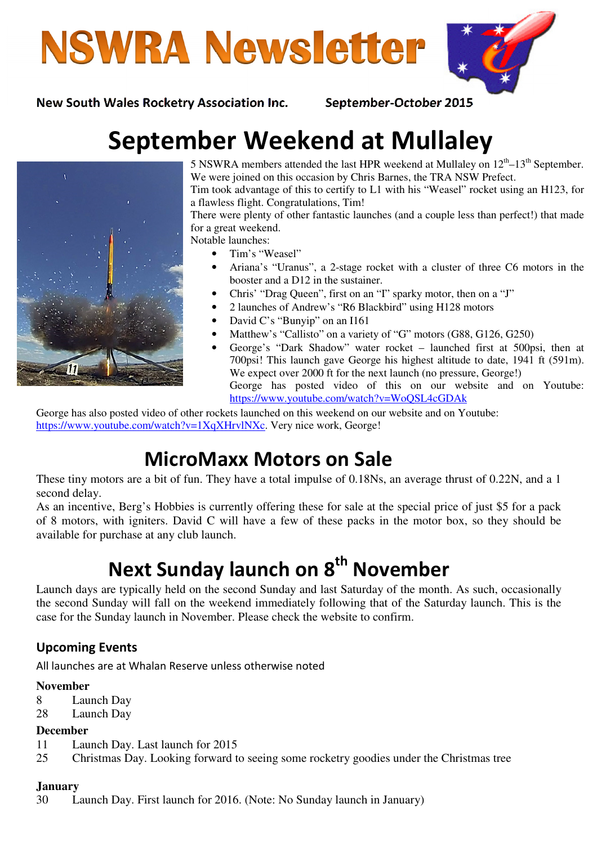



New South Wales Rocketry Association Inc. September-October 2015

# September Weekend at Mullaley



5 NSWRA members attended the last HPR weekend at Mullaley on  $12<sup>th</sup> - 13<sup>th</sup>$  September. We were joined on this occasion by Chris Barnes, the TRA NSW Prefect. Tim took advantage of this to certify to L1 with his "Weasel" rocket using an H123, for

a flawless flight. Congratulations, Tim! There were plenty of other fantastic launches (and a couple less than perfect!) that made for a great weekend.

Notable launches:

- Tim's "Weasel"
- Ariana's "Uranus", a 2-stage rocket with a cluster of three C6 motors in the booster and a D12 in the sustainer.
- Chris' "Drag Queen", first on an "I" sparky motor, then on a "J"
- 2 launches of Andrew's "R6 Blackbird" using H128 motors
- David C's "Bunyip" on an I161
- Matthew's "Callisto" on a variety of "G" motors (G88, G126, G250)
- George's "Dark Shadow" water rocket launched first at 500psi, then at 700psi! This launch gave George his highest altitude to date, 1941 ft (591m). We expect over 2000 ft for the next launch (no pressure, George!) George has posted video of this on our website and on Youtube: https://www.youtube.com/watch?v=WoQSL4cGDAk

George has also posted video of other rockets launched on this weekend on our website and on Youtube: https://www.youtube.com/watch?v=1XqXHrvlNXc. Very nice work, George!

# MicroMaxx Motors on Sale

These tiny motors are a bit of fun. They have a total impulse of 0.18Ns, an average thrust of 0.22N, and a 1 second delay.

As an incentive, Berg's Hobbies is currently offering these for sale at the special price of just \$5 for a pack of 8 motors, with igniters. David C will have a few of these packs in the motor box, so they should be available for purchase at any club launch.

# Next Sunday launch on 8<sup>th</sup> November

Launch days are typically held on the second Sunday and last Saturday of the month. As such, occasionally the second Sunday will fall on the weekend immediately following that of the Saturday launch. This is the case for the Sunday launch in November. Please check the website to confirm.

### Upcoming Events

All launches are at Whalan Reserve unless otherwise noted

#### **November**

- 8 Launch Day
- 28 Launch Day

#### **December**

- 11 Launch Day. Last launch for 2015
- 25 Christmas Day. Looking forward to seeing some rocketry goodies under the Christmas tree

#### **January**

30 Launch Day. First launch for 2016. (Note: No Sunday launch in January)